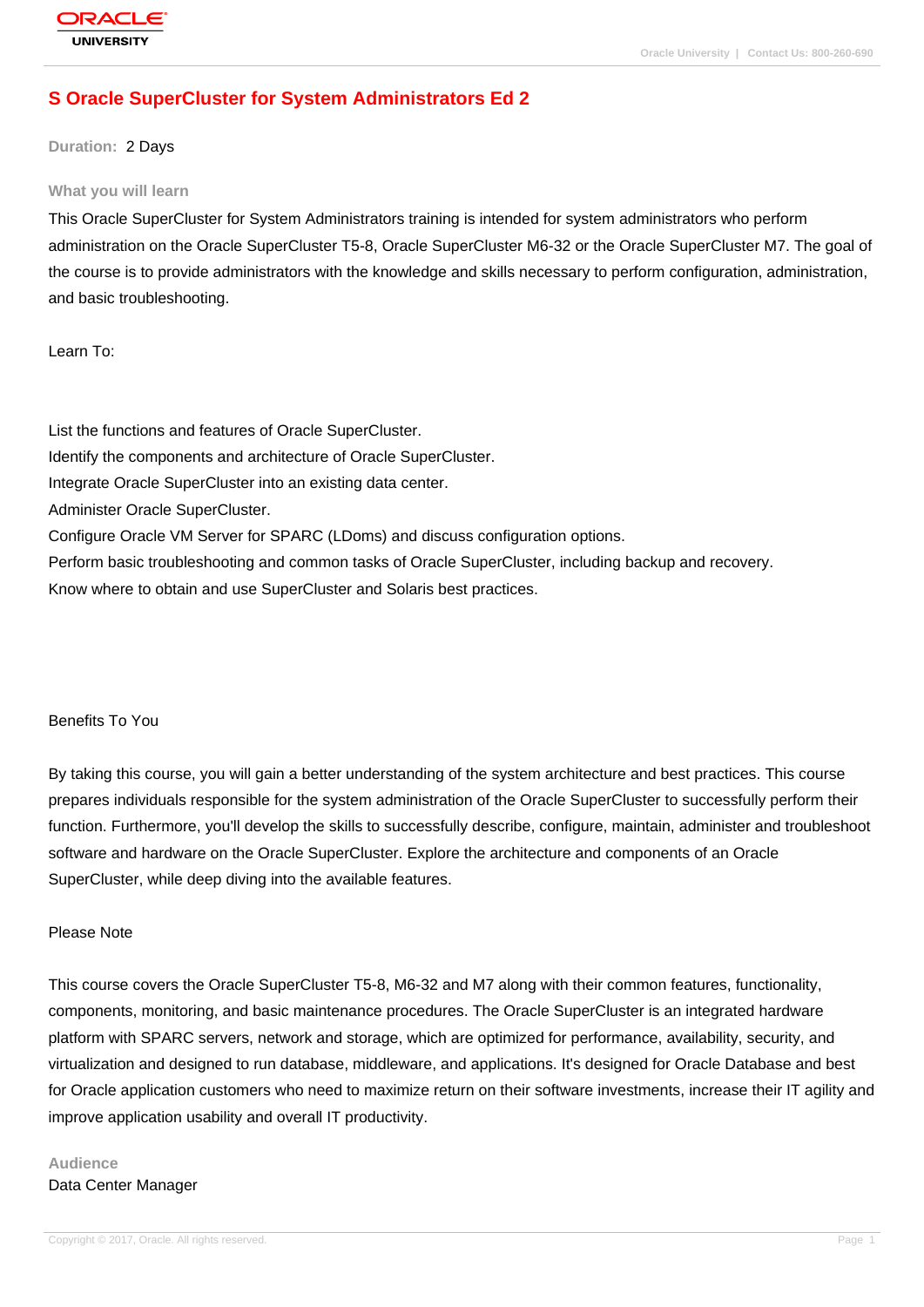# **[S Oracle Super](http://education.oracle.com/pls/web_prod-plq-dad/db_pages.getpage?page_id=3)Cluster for System Administrators Ed 2**

**Duration:** 2 Days

#### **What you will learn**

This Oracle SuperCluster for System Administrators training is intended for system administrators who perform administration on the Oracle SuperCluster T5-8, Oracle SuperCluster M6-32 or the Oracle SuperCluster M7. The goal of the course is to provide administrators with the knowledge and skills necessary to perform configuration, administration, and basic troubleshooting.

Learn To:

List the functions and features of Oracle SuperCluster. Identify the components and architecture of Oracle SuperCluster. Integrate Oracle SuperCluster into an existing data center. Administer Oracle SuperCluster. Configure Oracle VM Server for SPARC (LDoms) and discuss configuration options. Perform basic troubleshooting and common tasks of Oracle SuperCluster, including backup and recovery. Know where to obtain and use SuperCluster and Solaris best practices.

#### Benefits To You

By taking this course, you will gain a better understanding of the system architecture and best practices. This course prepares individuals responsible for the system administration of the Oracle SuperCluster to successfully perform their function. Furthermore, you'll develop the skills to successfully describe, configure, maintain, administer and troubleshoot software and hardware on the Oracle SuperCluster. Explore the architecture and components of an Oracle SuperCluster, while deep diving into the available features.

#### Please Note

This course covers the Oracle SuperCluster T5-8, M6-32 and M7 along with their common features, functionality, components, monitoring, and basic maintenance procedures. The Oracle SuperCluster is an integrated hardware platform with SPARC servers, network and storage, which are optimized for performance, availability, security, and virtualization and designed to run database, middleware, and applications. It's designed for Oracle Database and best for Oracle application customers who need to maximize return on their software investments, increase their IT agility and improve application usability and overall IT productivity.

## **Audience** Data Center Manager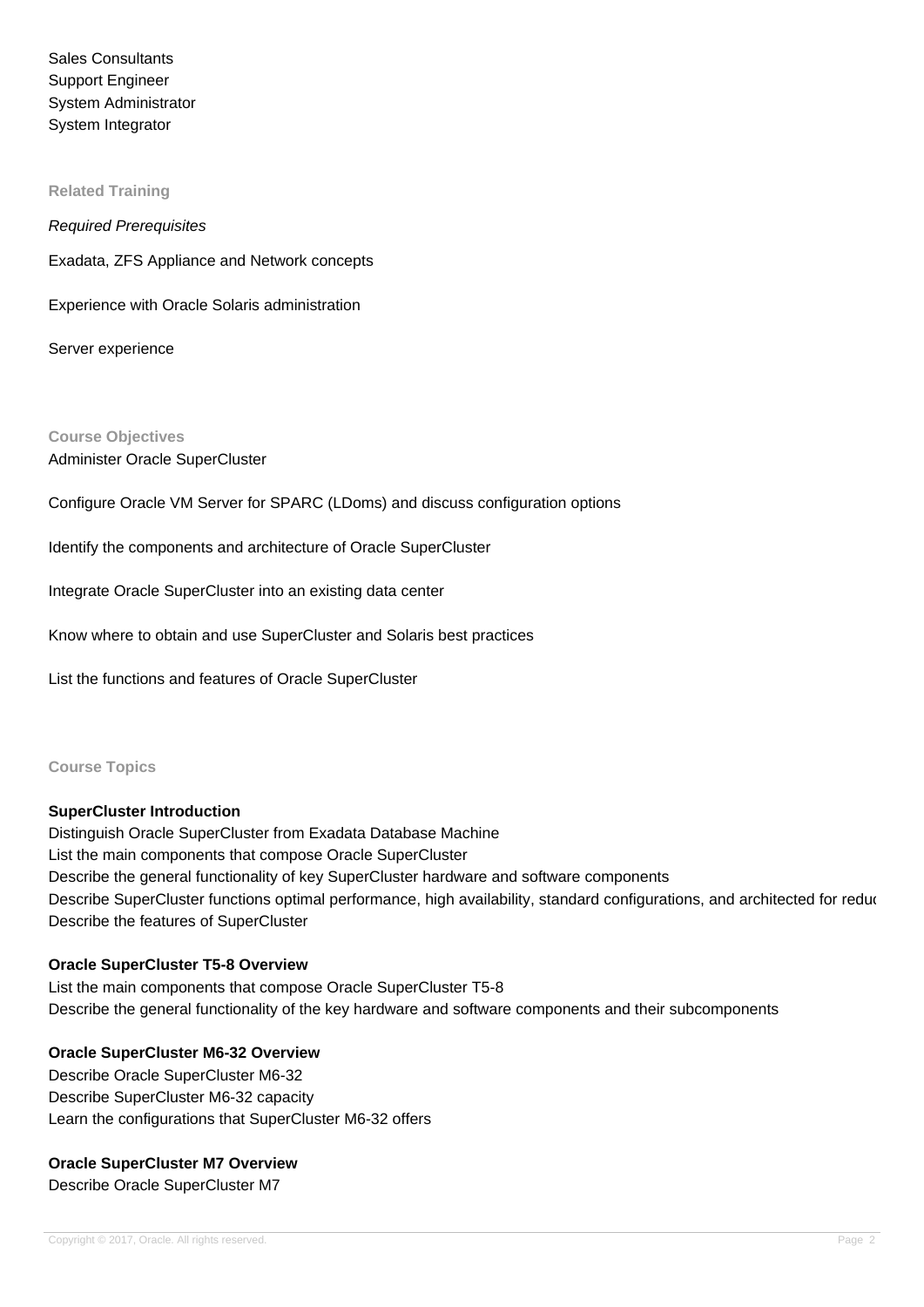Sales Consultants Support Engineer System Administrator System Integrator

**Related Training**

Required Prerequisites

Exadata, ZFS Appliance and Network concepts

Experience with Oracle Solaris administration

Server experience

**Course Objectives** Administer Oracle SuperCluster

Configure Oracle VM Server for SPARC (LDoms) and discuss configuration options

Identify the components and architecture of Oracle SuperCluster

Integrate Oracle SuperCluster into an existing data center

Know where to obtain and use SuperCluster and Solaris best practices

List the functions and features of Oracle SuperCluster

**Course Topics**

## **SuperCluster Introduction**

Distinguish Oracle SuperCluster from Exadata Database Machine List the main components that compose Oracle SuperCluster Describe the general functionality of key SuperCluster hardware and software components Describe SuperCluster functions optimal performance, high availability, standard configurations, and architected for reduc Describe the features of SuperCluster

## **Oracle SuperCluster T5-8 Overview**

List the main components that compose Oracle SuperCluster T5-8 Describe the general functionality of the key hardware and software components and their subcomponents

## **Oracle SuperCluster M6-32 Overview**

Describe Oracle SuperCluster M6-32 Describe SuperCluster M6-32 capacity Learn the configurations that SuperCluster M6-32 offers

## **Oracle SuperCluster M7 Overview**

Describe Oracle SuperCluster M7